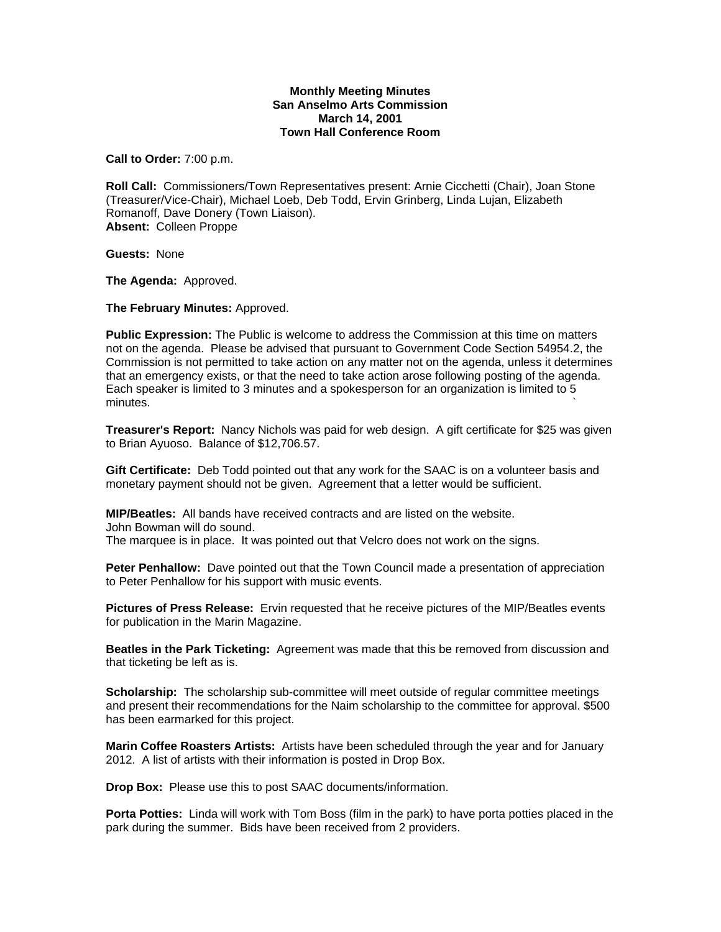## **Monthly Meeting Minutes San Anselmo Arts Commission March 14, 2001 Town Hall Conference Room**

**Call to Order:** 7:00 p.m.

**Roll Call:** Commissioners/Town Representatives present: Arnie Cicchetti (Chair), Joan Stone (Treasurer/Vice-Chair), Michael Loeb, Deb Todd, Ervin Grinberg, Linda Lujan, Elizabeth Romanoff, Dave Donery (Town Liaison). **Absent:** Colleen Proppe

**Guests:** None

**The Agenda:** Approved.

**The February Minutes:** Approved.

**Public Expression:** The Public is welcome to address the Commission at this time on matters not on the agenda. Please be advised that pursuant to Government Code Section 54954.2, the Commission is not permitted to take action on any matter not on the agenda, unless it determines that an emergency exists, or that the need to take action arose following posting of the agenda. Each speaker is limited to 3 minutes and a spokesperson for an organization is limited to 5  $m$ inutes.  $\sim$ 

**Treasurer's Report:** Nancy Nichols was paid for web design. A gift certificate for \$25 was given to Brian Ayuoso. Balance of \$12,706.57.

**Gift Certificate:** Deb Todd pointed out that any work for the SAAC is on a volunteer basis and monetary payment should not be given. Agreement that a letter would be sufficient.

**MIP/Beatles:** All bands have received contracts and are listed on the website. John Bowman will do sound. The marquee is in place. It was pointed out that Velcro does not work on the signs.

**Peter Penhallow:** Dave pointed out that the Town Council made a presentation of appreciation to Peter Penhallow for his support with music events.

**Pictures of Press Release:** Ervin requested that he receive pictures of the MIP/Beatles events for publication in the Marin Magazine.

**Beatles in the Park Ticketing:** Agreement was made that this be removed from discussion and that ticketing be left as is.

**Scholarship:** The scholarship sub-committee will meet outside of regular committee meetings and present their recommendations for the Naim scholarship to the committee for approval. \$500 has been earmarked for this project.

**Marin Coffee Roasters Artists:** Artists have been scheduled through the year and for January 2012. A list of artists with their information is posted in Drop Box.

**Drop Box:** Please use this to post SAAC documents/information.

**Porta Potties:** Linda will work with Tom Boss (film in the park) to have porta potties placed in the park during the summer. Bids have been received from 2 providers.